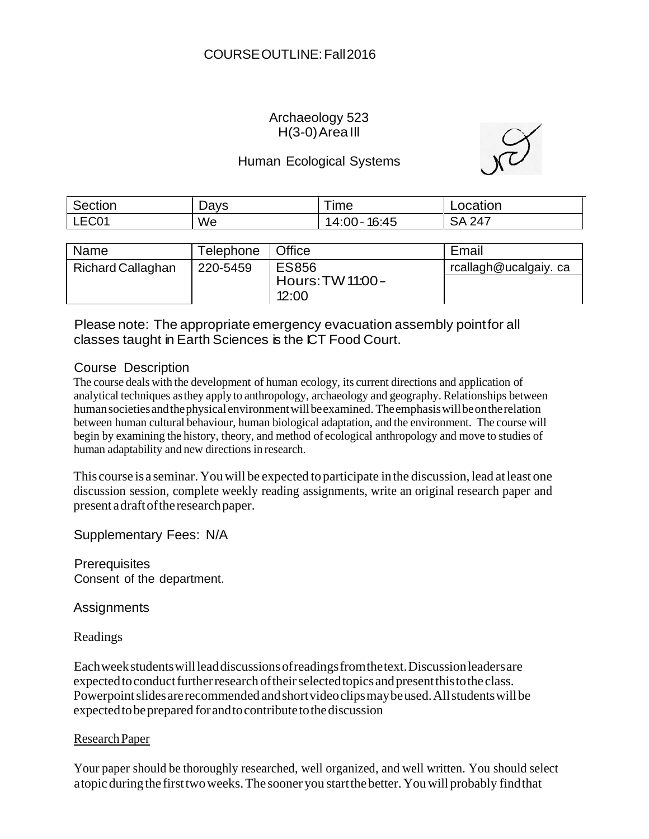## Archaeology 523  $H(3-0)$  Area III

## Human Ecological Systems

| Section | Days | ime               | Location      |
|---------|------|-------------------|---------------|
| LEC01   | We   | 16:45<br>14:00- . | <b>SA 247</b> |

| Name              | Telephone | <b>Office</b>                             | Email                |
|-------------------|-----------|-------------------------------------------|----------------------|
| Richard Callaghan | 220-5459  | <b>ES856</b><br>Hours: TW 11:00-<br>12:00 | rcallagh@ucalgaiy.ca |

Please note: The appropriate emergency evacuation assembly pointfor all classes taught in Earth Sciences is the ICT Food Court.

## Course Description

The course deals with the development of human ecology, its current directions and application of analytical techniques asthey apply to anthropology, archaeology and geography. Relationships between human societies and the physical environment will be examined. The emphasis will be on the relation between human cultural behaviour, human biological adaptation, and the environment. The course will begin by examining the history, theory, and method of ecological anthropology and move to studies of human adaptability and new directions in research.

This course is a seminar. Youwill be expected toparticipate inthe discussion, lead atleast one discussion session, complete weekly reading assignments, write an original research paper and present adraftoftheresearchpaper.

Supplementary Fees: N/A

**Prerequisites** Consent of the department.

**Assignments** 

Readings

Eachweekstudentswillleaddiscussionsofreadingsfromthetext.Discussionleadersare expected to conduct further research of their selected topics and present this to the class. Powerpoint slides are recommended and short videoclips may be used. All students will be expectedtobeprepared forandtocontributetothediscussion

# ResearchPaper

Your paper should be thoroughly researched, well organized, and well written. You should select atopicduringthe firsttwoweeks.The sooner you startthebetter.Youwill probably findthat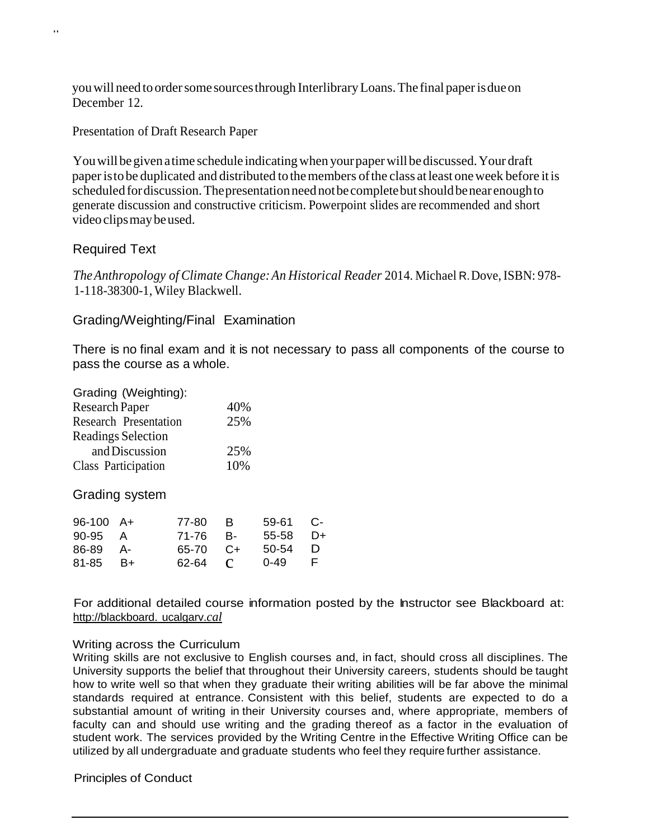youwill need toordersome sourcesthrough InterlibraryLoans.The final paperisdueon December 12.

Presentation of Draft Research Paper

You will be given a time schedule indicating when your paper will be discussed. Your draft paperistobe duplicated and distributed tothemembers ofthe class atleast oneweek before itis scheduled for discussion. The presentation need not be complete but should be near enough to generate discussion and constructive criticism. Powerpoint slides are recommended and short videoclipsmaybeused.

### Required Text

..

*TheAnthropology of Climate Change:An Historical Reader* 2014. Michael R.Dove,ISBN: 978- 1-118-38300-1, Wiley Blackwell.

### Grading/Weighting/Final Examination

There is no final exam and it is not necessary to pass all components of the course to pass the course as a whole.

| 40% |
|-----|
| 25% |
|     |
| 25% |
| 10% |
|     |

Grading system

|                                                  | 0-49                                             | - F -                               |
|--------------------------------------------------|--------------------------------------------------|-------------------------------------|
| $96-100$ A+<br>90-95 A<br>86-89 A-<br>$81-85$ B+ | 77-80 B<br>71-76 B-<br>$65-70$ $C+$<br>$62-64$ C | $59-61$ C-<br>$55-58$ D+<br>50-54 D |

For additional detailed course information posted by the Instructor see Blackboard at: [http://blackboard.](http://blackboard/) ucalgarv.*cal*

### Writing across the Curriculum

Writing skills are not exclusive to English courses and, in fact, should cross all disciplines. The University supports the belief that throughout their University careers, students should be taught how to write well so that when they graduate their writing abilities will be far above the minimal standards required at entrance. Consistent with this belief, students are expected to do a substantial amount of writing in their University courses and, where appropriate, members of faculty can and should use writing and the grading thereof as a factor in the evaluation of student work. The services provided by the Writing Centre in the Effective Writing Office can be utilized by all undergraduate and graduate students who feel they require further assistance.

### Principles of Conduct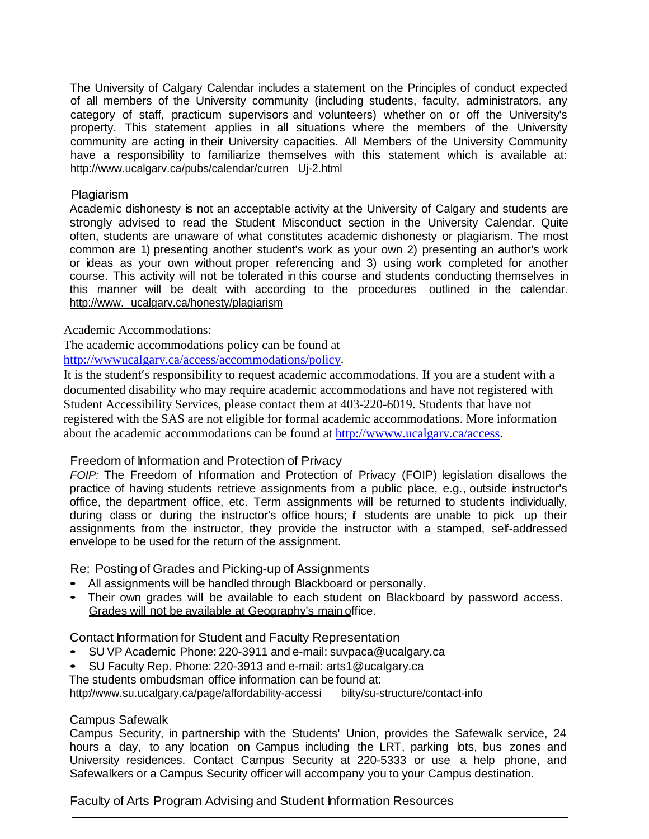The University of Calgary Calendar includes a statement on the Principles of conduct expected of all members of the University community (including students, faculty, administrators, any category of staff, practicum supervisors and volunteers) whether on or off the University's property. This statement applies in all situations where the members of the University community are acting in their University capacities. All Members of the University Community have a responsibility to familiarize themselves with this statement which is available at: <http://www.ucalgarv.ca/pubs/calendar/curren>Uj-2.html

#### Plagiarism

Academic dishonesty is not an acceptable activity at the University of Calgary and students are strongly advised to read the Student Misconduct section in the University Calendar. Quite often, students are unaware of what constitutes academic dishonesty or plagiarism. The most common are 1) presenting another student's work as your own 2) presenting an author's work or ideas as your own without proper referencing and 3) using work completed for another course. This activity will not be tolerated in this course and students conducting themselves in this manner will be dealt with according to the procedures outlined in the calendar. [http://www.](http://www/) ucalgarv.ca/honesty/plagiarism

Academic Accommodations:

The academic accommodations policy can be found at

[http://wwwucalgary.ca/access/accommodations/policy.](http://wwwucalgary.ca/access/accommodations/policy)

It is the student's responsibility to request academic accommodations. If you are a student with a documented disability who may require academic accommodations and have not registered with Student Accessibility Services, please contact them at 403-220-6019. Students that have not registered with the SAS are not eligible for formal academic accommodations. More information about the academic accommodations can be found at [http://wwww.ucalgary.ca/access.](http://wwww.ucalgary.ca/access)

### Freedom of Information and Protection of Privacy

FOIP: The Freedom of Information and Protection of Privacy (FOIP) legislation disallows the practice of having students retrieve assignments from a public place, e.g., outside instructor's office, the department office, etc. Term assignments will be returned to students individually, during class or during the instructor's office hours; if students are unable to pick up their assignments from the instructor, they provide the instructor with a stamped, self-addressed envelope to be used for the return of the assignment.

Re: Posting of Grades and Picking-up of Assignments

- All assignments will be handled through Blackboard or personally.
- Their own grades will be available to each student on Blackboard by password access. Grades will not be available at Geography's main office.

Contact Information for Student and Faculty Representation

- SU VP Academic Phone: 220-3911 and e-mail: [suvpaca@ucalgary.ca](mailto:suvpaca@ucalgary.ca)
- SU Faculty Rep. Phone: 220-3913 and e-mail: [arts1@ucalgary.ca](mailto:arts1@ucalgary.ca)

The students ombudsman office information can be found at:

htt[p://www.su.ucalgary.ca/page/affordability-accessi](http://www.su.ucalgary.ca/page/affordability-accessi) bility/su-structure/contact-info

### Campus Safewalk

Campus Security, in partnership with the Students' Union, provides the Safewalk service, 24 hours a day, to any location on Campus including the LRT, parking lots, bus zones and University residences. Contact Campus Security at 220-5333 or use a help phone, and Safewalkers or a Campus Security officer will accompany you to your Campus destination.

Faculty of Arts Program Advising and Student Information Resources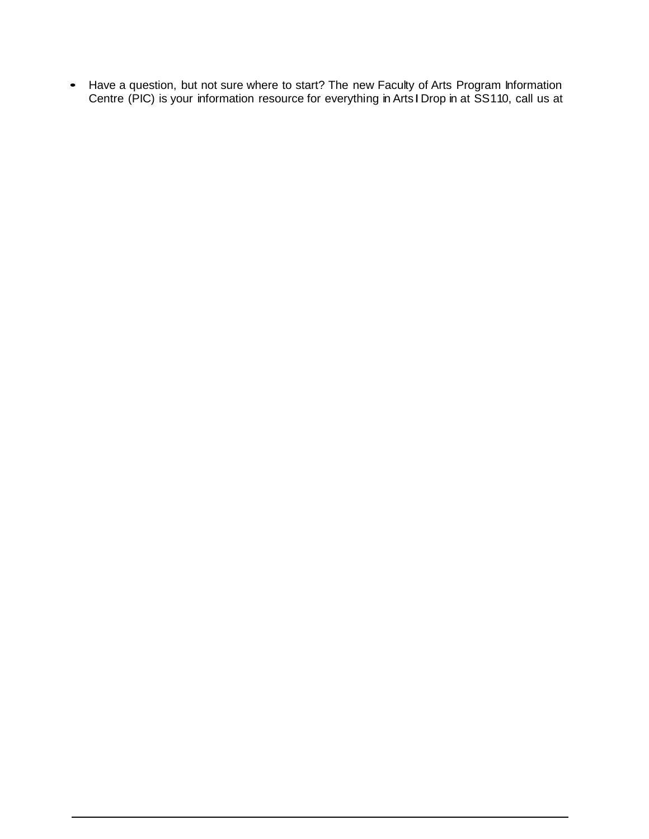• Have a question, but not sure where to start? The new Faculty of Arts Program Information Centre (PIC) is your information resource for everything in ArtsIDrop in at SS110, call us at